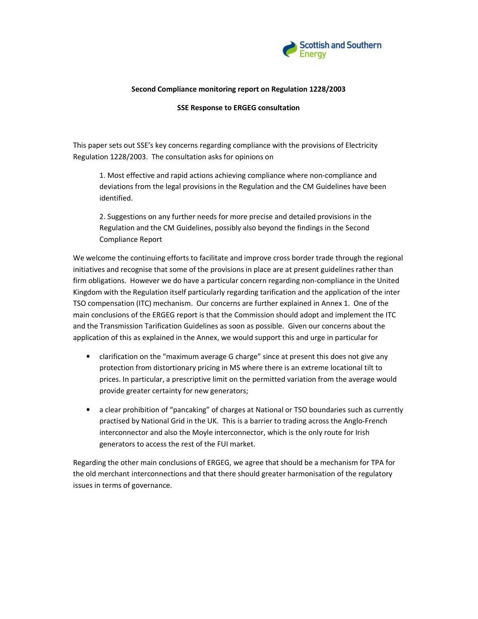

### Second Compliance monitoring report on Regulation 1228/2003

#### SSE Response to ERGEG consultation

This paper sets out SSE's key concerns regarding compliance with the provisions of Electricity Regulation 1228/2003. The consultation asks for opinions on

1. Most effective and rapid actions achieving compliance where non-compliance and deviations from the legal provisions in the Regulation and the CM Guidelines have been identified.

2. Suggestions on any further needs for more precise and detailed provisions in the Regulation and the CM Guidelines, possibly also beyond the findings in the Second Compliance Report

We welcome the continuing efforts to facilitate and improve cross border trade through the regional initiatives and recognise that some of the provisions in place are at present guidelines rather than firm obligations. However we do have a particular concern regarding non-compliance in the United Kingdom with the Regulation itself particularly regarding tarification and the application of the inter TSO compensation (ITC) mechanism. Our concerns are further explained in Annex 1. One of the main conclusions of the ERGEG report is that the Commission should adopt and implement the ITC and the Transmission Tarification Guidelines as soon as possible. Given our concerns about the application of this as explained in the Annex, we would support this and urge in particular for

- clarification on the "maximum average G charge" since at present this does not give any protection from distortionary pricing in MS where there is an extreme locational tilt to prices. In particular, a prescriptive limit on the permitted variation from the average would provide greater certainty for new generators;
- a clear prohibition of "pancaking" of charges at National or TSO boundaries such as currently practised by National Grid in the UK. This is a barrier to trading across the Anglo-French interconnector and also the Moyle interconnector, which is the only route for Irish generators to access the rest of the FUI market.

Regarding the other main conclusions of ERGEG, we agree that should be a mechanism for TPA for the old merchant interconnections and that there should greater harmonisation of the regulatory issues in terms of governance.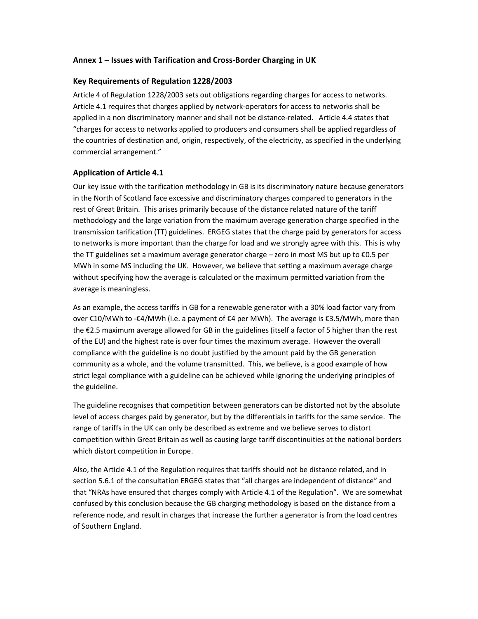## Annex 1 – Issues with Tarification and Cross-Border Charging in UK

#### Key Requirements of Regulation 1228/2003

Article 4 of Regulation 1228/2003 sets out obligations regarding charges for access to networks. Article 4.1 requires that charges applied by network-operators for access to networks shall be applied in a non discriminatory manner and shall not be distance-related. Article 4.4 states that "charges for access to networks applied to producers and consumers shall be applied regardless of the countries of destination and, origin, respectively, of the electricity, as specified in the underlying commercial arrangement."

### Application of Article 4.1

Our key issue with the tarification methodology in GB is its discriminatory nature because generators in the North of Scotland face excessive and discriminatory charges compared to generators in the rest of Great Britain. This arises primarily because of the distance related nature of the tariff methodology and the large variation from the maximum average generation charge specified in the transmission tarification (TT) guidelines. ERGEG states that the charge paid by generators for access to networks is more important than the charge for load and we strongly agree with this. This is why the TT guidelines set a maximum average generator charge – zero in most MS but up to €0.5 per MWh in some MS including the UK. However, we believe that setting a maximum average charge without specifying how the average is calculated or the maximum permitted variation from the average is meaningless.

As an example, the access tariffs in GB for a renewable generator with a 30% load factor vary from over €10/MWh to -€4/MWh (i.e. a payment of €4 per MWh). The average is €3.5/MWh, more than the €2.5 maximum average allowed for GB in the guidelines (itself a factor of 5 higher than the rest of the EU) and the highest rate is over four times the maximum average. However the overall compliance with the guideline is no doubt justified by the amount paid by the GB generation community as a whole, and the volume transmitted. This, we believe, is a good example of how strict legal compliance with a guideline can be achieved while ignoring the underlying principles of the guideline.

The guideline recognises that competition between generators can be distorted not by the absolute level of access charges paid by generator, but by the differentials in tariffs for the same service. The range of tariffs in the UK can only be described as extreme and we believe serves to distort competition within Great Britain as well as causing large tariff discontinuities at the national borders which distort competition in Europe.

Also, the Article 4.1 of the Regulation requires that tariffs should not be distance related, and in section 5.6.1 of the consultation ERGEG states that "all charges are independent of distance" and that "NRAs have ensured that charges comply with Article 4.1 of the Regulation". We are somewhat confused by this conclusion because the GB charging methodology is based on the distance from a reference node, and result in charges that increase the further a generator is from the load centres of Southern England.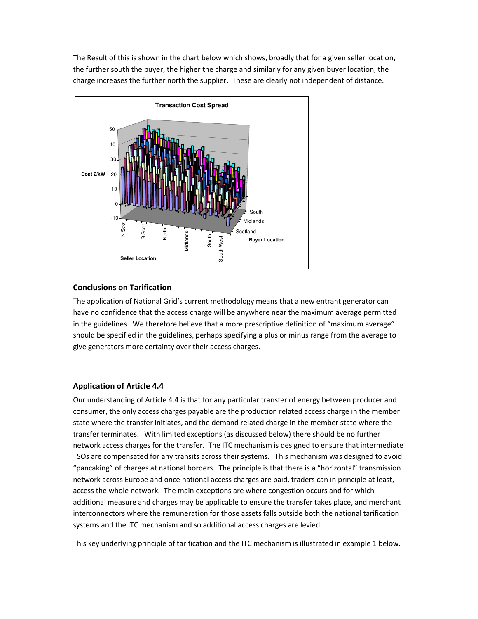The Result of this is shown in the chart below which shows, broadly that for a given seller location, the further south the buyer, the higher the charge and similarly for any given buyer location, the charge increases the further north the supplier. These are clearly not independent of distance.



### Conclusions on Tarification

The application of National Grid's current methodology means that a new entrant generator can have no confidence that the access charge will be anywhere near the maximum average permitted in the guidelines. We therefore believe that a more prescriptive definition of "maximum average" should be specified in the guidelines, perhaps specifying a plus or minus range from the average to give generators more certainty over their access charges.

#### Application of Article 4.4

Our understanding of Article 4.4 is that for any particular transfer of energy between producer and consumer, the only access charges payable are the production related access charge in the member state where the transfer initiates, and the demand related charge in the member state where the transfer terminates. With limited exceptions (as discussed below) there should be no further network access charges for the transfer. The ITC mechanism is designed to ensure that intermediate TSOs are compensated for any transits across their systems. This mechanism was designed to avoid "pancaking" of charges at national borders. The principle is that there is a "horizontal" transmission network across Europe and once national access charges are paid, traders can in principle at least, access the whole network. The main exceptions are where congestion occurs and for which additional measure and charges may be applicable to ensure the transfer takes place, and merchant interconnectors where the remuneration for those assets falls outside both the national tarification systems and the ITC mechanism and so additional access charges are levied.

This key underlying principle of tarification and the ITC mechanism is illustrated in example 1 below.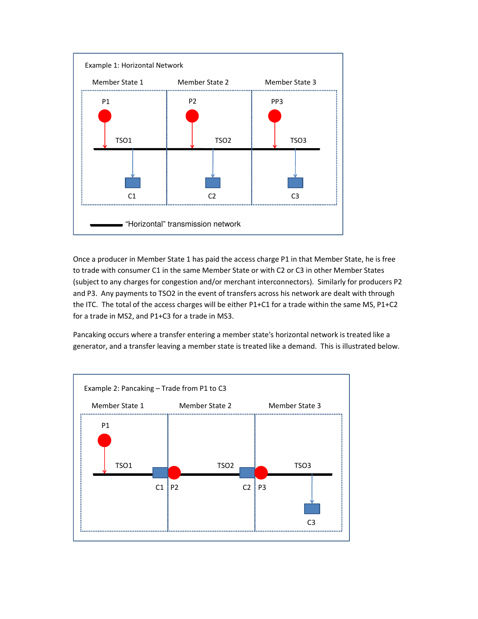

Once a producer in Member State 1 has paid the access charge P1 in that Member State, he is free to trade with consumer C1 in the same Member State or with C2 or C3 in other Member States (subject to any charges for congestion and/or merchant interconnectors). Similarly for producers P2 and P3. Any payments to TSO2 in the event of transfers across his network are dealt with through the ITC. The total of the access charges will be either P1+C1 for a trade within the same MS, P1+C2 for a trade in MS2, and P1+C3 for a trade in MS3.

Pancaking occurs where a transfer entering a member state's horizontal network is treated like a generator, and a transfer leaving a member state is treated like a demand. This is illustrated below.